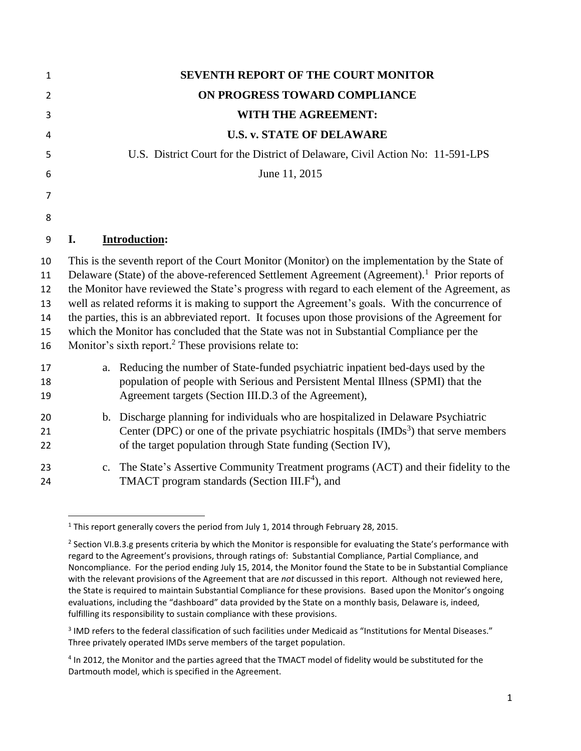| $\mathbf{1}$                           | <b>SEVENTH REPORT OF THE COURT MONITOR</b>                                                                                                                                                                                                                                                                                                                                                                                                                                                                                                                                                                                                                                            |  |  |  |  |  |  |
|----------------------------------------|---------------------------------------------------------------------------------------------------------------------------------------------------------------------------------------------------------------------------------------------------------------------------------------------------------------------------------------------------------------------------------------------------------------------------------------------------------------------------------------------------------------------------------------------------------------------------------------------------------------------------------------------------------------------------------------|--|--|--|--|--|--|
| $\overline{2}$                         | ON PROGRESS TOWARD COMPLIANCE                                                                                                                                                                                                                                                                                                                                                                                                                                                                                                                                                                                                                                                         |  |  |  |  |  |  |
| 3                                      | WITH THE AGREEMENT:                                                                                                                                                                                                                                                                                                                                                                                                                                                                                                                                                                                                                                                                   |  |  |  |  |  |  |
| 4                                      | <b>U.S. v. STATE OF DELAWARE</b>                                                                                                                                                                                                                                                                                                                                                                                                                                                                                                                                                                                                                                                      |  |  |  |  |  |  |
| 5                                      | U.S. District Court for the District of Delaware, Civil Action No: 11-591-LPS                                                                                                                                                                                                                                                                                                                                                                                                                                                                                                                                                                                                         |  |  |  |  |  |  |
| 6                                      | June 11, 2015                                                                                                                                                                                                                                                                                                                                                                                                                                                                                                                                                                                                                                                                         |  |  |  |  |  |  |
| 7                                      |                                                                                                                                                                                                                                                                                                                                                                                                                                                                                                                                                                                                                                                                                       |  |  |  |  |  |  |
| 8                                      |                                                                                                                                                                                                                                                                                                                                                                                                                                                                                                                                                                                                                                                                                       |  |  |  |  |  |  |
| 9                                      | <b>Introduction:</b><br>I.                                                                                                                                                                                                                                                                                                                                                                                                                                                                                                                                                                                                                                                            |  |  |  |  |  |  |
| 10<br>11<br>12<br>13<br>14<br>15<br>16 | This is the seventh report of the Court Monitor (Monitor) on the implementation by the State of<br>Delaware (State) of the above-referenced Settlement Agreement (Agreement). <sup>1</sup> Prior reports of<br>the Monitor have reviewed the State's progress with regard to each element of the Agreement, as<br>well as related reforms it is making to support the Agreement's goals. With the concurrence of<br>the parties, this is an abbreviated report. It focuses upon those provisions of the Agreement for<br>which the Monitor has concluded that the State was not in Substantial Compliance per the<br>Monitor's sixth report. <sup>2</sup> These provisions relate to: |  |  |  |  |  |  |
| 17<br>18<br>19                         | Reducing the number of State-funded psychiatric inpatient bed-days used by the<br>a.<br>population of people with Serious and Persistent Mental Illness (SPMI) that the<br>Agreement targets (Section III.D.3 of the Agreement),                                                                                                                                                                                                                                                                                                                                                                                                                                                      |  |  |  |  |  |  |
| 20<br>21<br>22                         | b. Discharge planning for individuals who are hospitalized in Delaware Psychiatric<br>Center (DPC) or one of the private psychiatric hospitals $(MDs3)$ that serve members<br>of the target population through State funding (Section IV),                                                                                                                                                                                                                                                                                                                                                                                                                                            |  |  |  |  |  |  |
| 23<br>24                               | c. The State's Assertive Community Treatment programs (ACT) and their fidelity to the<br>TMACT program standards (Section III.F <sup>4</sup> ), and                                                                                                                                                                                                                                                                                                                                                                                                                                                                                                                                   |  |  |  |  |  |  |

 $\overline{\phantom{a}}$ <sup>1</sup> This report generally covers the period from July 1, 2014 through February 28, 2015.

<sup>&</sup>lt;sup>2</sup> Section VI.B.3.g presents criteria by which the Monitor is responsible for evaluating the State's performance with regard to the Agreement's provisions, through ratings of: Substantial Compliance, Partial Compliance, and Noncompliance. For the period ending July 15, 2014, the Monitor found the State to be in Substantial Compliance with the relevant provisions of the Agreement that are *not* discussed in this report. Although not reviewed here, the State is required to maintain Substantial Compliance for these provisions. Based upon the Monitor's ongoing evaluations, including the "dashboard" data provided by the State on a monthly basis, Delaware is, indeed, fulfilling its responsibility to sustain compliance with these provisions.

 $3$  IMD refers to the federal classification of such facilities under Medicaid as "Institutions for Mental Diseases." Three privately operated IMDs serve members of the target population.

<sup>&</sup>lt;sup>4</sup> In 2012, the Monitor and the parties agreed that the TMACT model of fidelity would be substituted for the Dartmouth model, which is specified in the Agreement.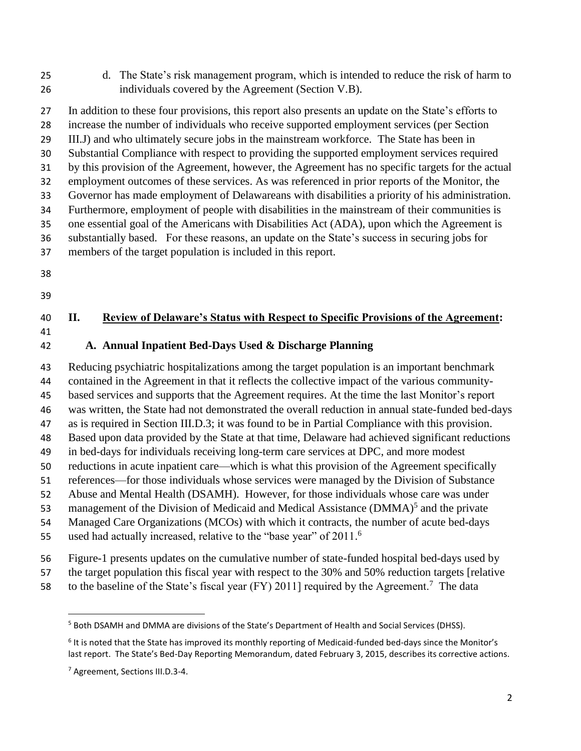d. The State's risk management program, which is intended to reduce the risk of harm to individuals covered by the Agreement (Section V.B).

 In addition to these four provisions, this report also presents an update on the State's efforts to increase the number of individuals who receive supported employment services (per Section III.J) and who ultimately secure jobs in the mainstream workforce. The State has been in Substantial Compliance with respect to providing the supported employment services required by this provision of the Agreement, however, the Agreement has no specific targets for the actual employment outcomes of these services. As was referenced in prior reports of the Monitor, the Governor has made employment of Delawareans with disabilities a priority of his administration. Furthermore, employment of people with disabilities in the mainstream of their communities is one essential goal of the Americans with Disabilities Act (ADA), upon which the Agreement is substantially based. For these reasons, an update on the State's success in securing jobs for members of the target population is included in this report.

- 
- 

# **II. Review of Delaware's Status with Respect to Specific Provisions of the Agreement:**

**A. Annual Inpatient Bed-Days Used & Discharge Planning**

 Reducing psychiatric hospitalizations among the target population is an important benchmark contained in the Agreement in that it reflects the collective impact of the various community- based services and supports that the Agreement requires. At the time the last Monitor's report was written, the State had not demonstrated the overall reduction in annual state-funded bed-days as is required in Section III.D.3; it was found to be in Partial Compliance with this provision. Based upon data provided by the State at that time, Delaware had achieved significant reductions in bed-days for individuals receiving long-term care services at DPC, and more modest reductions in acute inpatient care—which is what this provision of the Agreement specifically references—for those individuals whose services were managed by the Division of Substance Abuse and Mental Health (DSAMH). However, for those individuals whose care was under 53 management of the Division of Medicaid and Medical Assistance (DMMA)<sup>5</sup> and the private Managed Care Organizations (MCOs) with which it contracts, the number of acute bed-days used had actually increased, relative to the "base year" of 2011.<sup>6</sup> 

Figure-1 presents updates on the cumulative number of state-funded hospital bed-days used by

the target population this fiscal year with respect to the 30% and 50% reduction targets [relative

58 to the baseline of the State's fiscal year (FY) 2011] required by the Agreement.<sup>7</sup> The data

 $\overline{a}$ 

Both DSAMH and DMMA are divisions of the State's Department of Health and Social Services (DHSS).

<sup>&</sup>lt;sup>6</sup> It is noted that the State has improved its monthly reporting of Medicaid-funded bed-days since the Monitor's last report. The State's Bed-Day Reporting Memorandum, dated February 3, 2015, describes its corrective actions.

Agreement, Sections III.D.3-4.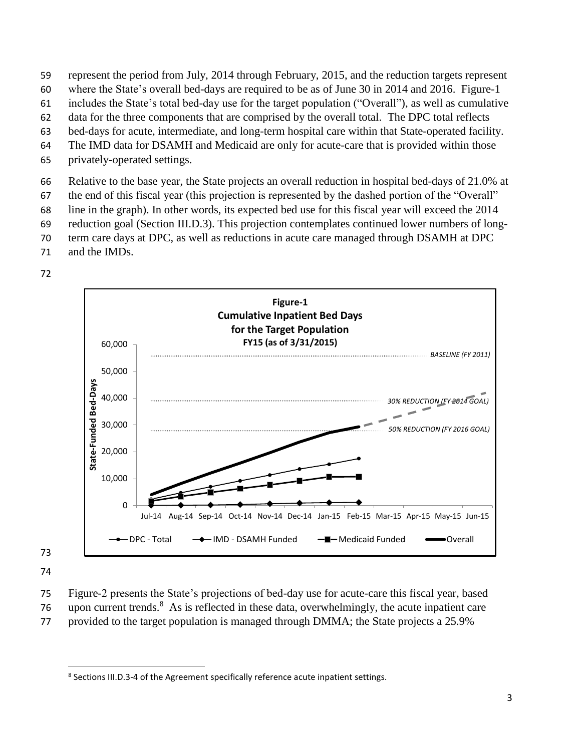- 59 represent the period from July, 2014 through February, 2015, and the reduction targets represent
- 60 where the State's overall bed-days are required to be as of June 30 in 2014 and 2016. Figure-1
- 61 includes the State's total bed-day use for the target population ("Overall"), as well as cumulative
- 62 data for the three components that are comprised by the overall total. The DPC total reflects
- 63 bed-days for acute, intermediate, and long-term hospital care within that State-operated facility.
- 64 The IMD data for DSAMH and Medicaid are only for acute-care that is provided within those
- 65 privately-operated settings.

66 Relative to the base year, the State projects an overall reduction in hospital bed-days of 21.0% at

- 67 the end of this fiscal year (this projection is represented by the dashed portion of the "Overall"
- 68 line in the graph). In other words, its expected bed use for this fiscal year will exceed the 2014
- 69 reduction goal (Section III.D.3). This projection contemplates continued lower numbers of long-
- 70 term care days at DPC, as well as reductions in acute care managed through DSAMH at DPC
- 71 and the IMDs.





73

- 74
- 75 Figure-2 presents the State's projections of bed-day use for acute-care this fiscal year, based 76 upon current trends.<sup>8</sup> As is reflected in these data, overwhelmingly, the acute inpatient care
- 77 provided to the target population is managed through DMMA; the State projects a 25.9%

 $\overline{\phantom{a}}$ <sup>8</sup> Sections III.D.3-4 of the Agreement specifically reference acute inpatient settings.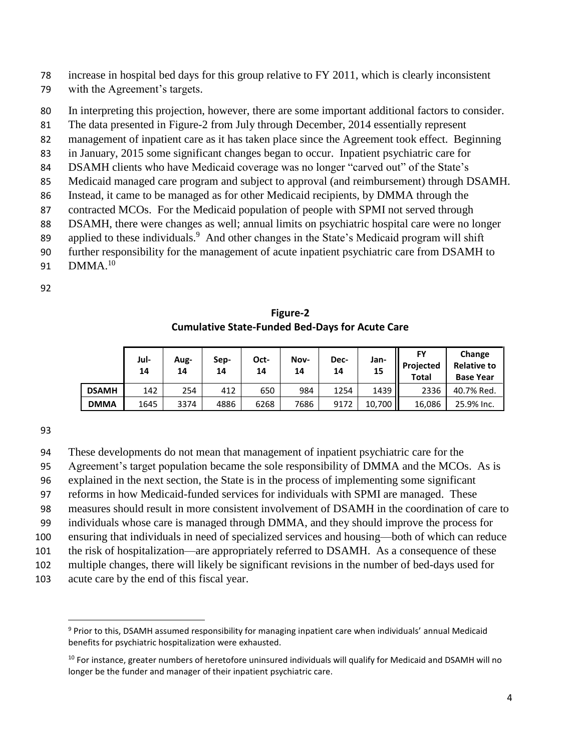- 78 increase in hospital bed days for this group relative to FY 2011, which is clearly inconsistent
- 79 with the Agreement's targets.
- 80 In interpreting this projection, however, there are some important additional factors to consider.
- 81 The data presented in Figure-2 from July through December, 2014 essentially represent
- 82 management of inpatient care as it has taken place since the Agreement took effect. Beginning
- 83 in January, 2015 some significant changes began to occur. Inpatient psychiatric care for
- 84 DSAMH clients who have Medicaid coverage was no longer "carved out" of the State's
- 85 Medicaid managed care program and subject to approval (and reimbursement) through DSAMH.
- 86 Instead, it came to be managed as for other Medicaid recipients, by DMMA through the
- 87 contracted MCOs. For the Medicaid population of people with SPMI not served through
- 88 DSAMH, there were changes as well; annual limits on psychiatric hospital care were no longer
- 89 applied to these individuals.<sup>9</sup> And other changes in the State's Medicaid program will shift
- 90 further responsibility for the management of acute inpatient psychiatric care from DSAMH to
- 91  $DMMA^{10}$
- 92

**Figure-2 Cumulative State-Funded Bed-Days for Acute Care**

|              | Jul-<br>14 | Aug-<br>14 | Sep-<br>14 | Oct-<br>14 | Nov-<br>14 | Dec-<br>14 | Jan-<br>15 | FY<br>Projected<br>Total | Change<br><b>Relative to</b><br><b>Base Year</b> |
|--------------|------------|------------|------------|------------|------------|------------|------------|--------------------------|--------------------------------------------------|
| <b>DSAMH</b> | 142        | 254        | 412        | 650        | 984        | 1254       | 1439       | 2336                     | 40.7% Red.                                       |
| <b>DMMA</b>  | 1645       | 3374       | 4886       | 6268       | 7686       | 9172       | 10,700     | 16.086                   | 25.9% Inc.                                       |

93

 $\overline{a}$ 

94 These developments do not mean that management of inpatient psychiatric care for the

- 95 Agreement's target population became the sole responsibility of DMMA and the MCOs. As is
- 96 explained in the next section, the State is in the process of implementing some significant
- 97 reforms in how Medicaid-funded services for individuals with SPMI are managed. These
- 98 measures should result in more consistent involvement of DSAMH in the coordination of care to
- 99 individuals whose care is managed through DMMA, and they should improve the process for
- 100 ensuring that individuals in need of specialized services and housing—both of which can reduce
- 101 the risk of hospitalization—are appropriately referred to DSAMH. As a consequence of these
- 102 multiple changes, there will likely be significant revisions in the number of bed-days used for
- 103 acute care by the end of this fiscal year.

<sup>&</sup>lt;sup>9</sup> Prior to this, DSAMH assumed responsibility for managing inpatient care when individuals' annual Medicaid benefits for psychiatric hospitalization were exhausted.

 $10$  For instance, greater numbers of heretofore uninsured individuals will qualify for Medicaid and DSAMH will no longer be the funder and manager of their inpatient psychiatric care.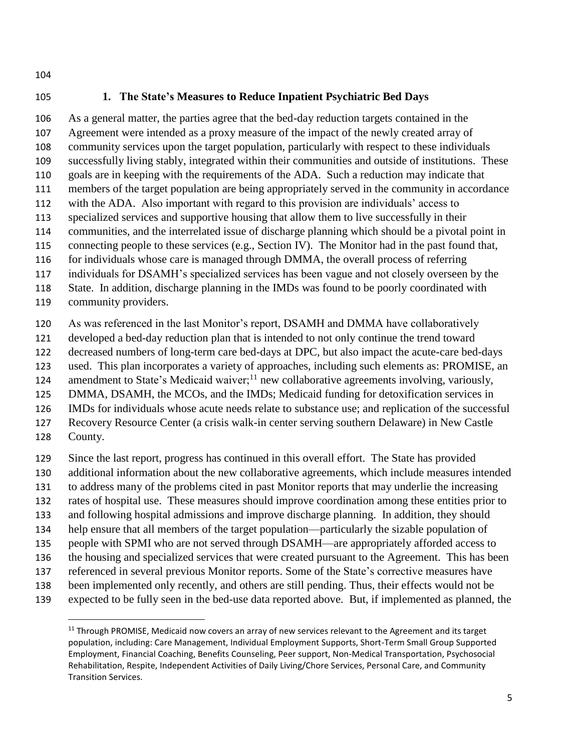## **1. The State's Measures to Reduce Inpatient Psychiatric Bed Days**

 As a general matter, the parties agree that the bed-day reduction targets contained in the Agreement were intended as a proxy measure of the impact of the newly created array of community services upon the target population, particularly with respect to these individuals successfully living stably, integrated within their communities and outside of institutions. These goals are in keeping with the requirements of the ADA. Such a reduction may indicate that members of the target population are being appropriately served in the community in accordance with the ADA. Also important with regard to this provision are individuals' access to specialized services and supportive housing that allow them to live successfully in their communities, and the interrelated issue of discharge planning which should be a pivotal point in 115 connecting people to these services (e.g., Section IV). The Monitor had in the past found that, for individuals whose care is managed through DMMA, the overall process of referring

individuals for DSAMH's specialized services has been vague and not closely overseen by the

State. In addition, discharge planning in the IMDs was found to be poorly coordinated with

community providers.

As was referenced in the last Monitor's report, DSAMH and DMMA have collaboratively

developed a bed-day reduction plan that is intended to not only continue the trend toward

decreased numbers of long-term care bed-days at DPC, but also impact the acute-care bed-days

used. This plan incorporates a variety of approaches, including such elements as: PROMISE, an

124 amendment to State's Medicaid waiver;<sup>11</sup> new collaborative agreements involving, variously,

DMMA, DSAMH, the MCOs, and the IMDs; Medicaid funding for detoxification services in

IMDs for individuals whose acute needs relate to substance use; and replication of the successful

- Recovery Resource Center (a crisis walk-in center serving southern Delaware) in New Castle
- County.

 $\overline{\phantom{a}}$ 

Since the last report, progress has continued in this overall effort. The State has provided

- additional information about the new collaborative agreements, which include measures intended
- to address many of the problems cited in past Monitor reports that may underlie the increasing
- rates of hospital use. These measures should improve coordination among these entities prior to
- and following hospital admissions and improve discharge planning. In addition, they should
- help ensure that all members of the target population—particularly the sizable population of
- people with SPMI who are not served through DSAMH—are appropriately afforded access to
- the housing and specialized services that were created pursuant to the Agreement. This has been
- referenced in several previous Monitor reports. Some of the State's corrective measures have
- been implemented only recently, and others are still pending. Thus, their effects would not be
- expected to be fully seen in the bed-use data reported above. But, if implemented as planned, the

 Through PROMISE, Medicaid now covers an array of new services relevant to the Agreement and its target population, including: Care Management, Individual Employment Supports, Short-Term Small Group Supported Employment, Financial Coaching, Benefits Counseling, Peer support, Non-Medical Transportation, Psychosocial Rehabilitation, Respite, Independent Activities of Daily Living/Chore Services, Personal Care, and Community Transition Services.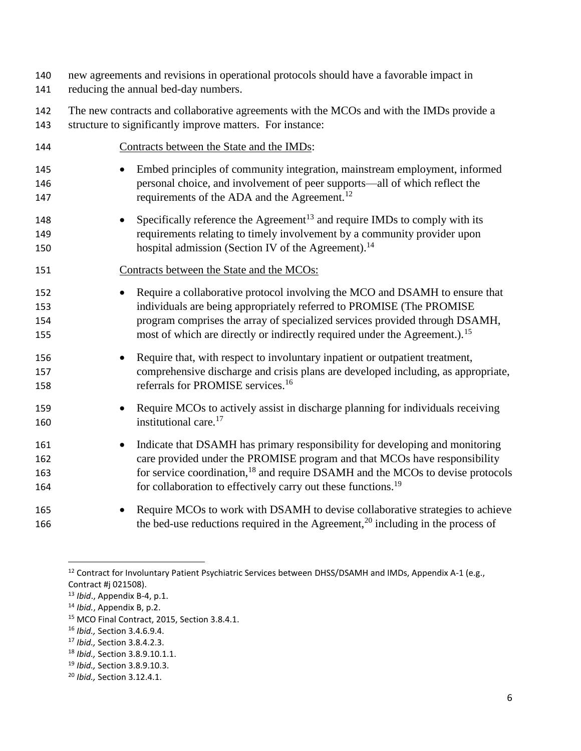- 140 new agreements and revisions in operational protocols should have a favorable impact in
- 141 reducing the annual bed-day numbers.
- 142 The new contracts and collaborative agreements with the MCOs and with the IMDs provide a 143 structure to significantly improve matters. For instance:

| 144 | Contracts between the State and the IMDs:                                                   |
|-----|---------------------------------------------------------------------------------------------|
| 145 | Embed principles of community integration, mainstream employment, informed                  |
| 146 | personal choice, and involvement of peer supports-all of which reflect the                  |
| 147 | requirements of the ADA and the Agreement. <sup>12</sup>                                    |
| 148 | Specifically reference the Agreement <sup>13</sup> and require IMDs to comply with its      |
| 149 | requirements relating to timely involvement by a community provider upon                    |
| 150 | hospital admission (Section IV of the Agreement). <sup>14</sup>                             |
| 151 | Contracts between the State and the MCOs:                                                   |
| 152 | Require a collaborative protocol involving the MCO and DSAMH to ensure that                 |
| 153 | individuals are being appropriately referred to PROMISE (The PROMISE                        |
| 154 | program comprises the array of specialized services provided through DSAMH,                 |
| 155 | most of which are directly or indirectly required under the Agreement.). <sup>15</sup>      |
| 156 | Require that, with respect to involuntary inpatient or outpatient treatment,                |
| 157 | comprehensive discharge and crisis plans are developed including, as appropriate,           |
| 158 | referrals for PROMISE services. <sup>16</sup>                                               |
| 159 | Require MCOs to actively assist in discharge planning for individuals receiving             |
| 160 | institutional care. <sup>17</sup>                                                           |
| 161 | Indicate that DSAMH has primary responsibility for developing and monitoring                |
| 162 | care provided under the PROMISE program and that MCOs have responsibility                   |
| 163 | for service coordination, <sup>18</sup> and require DSAMH and the MCOs to devise protocols  |
| 164 | for collaboration to effectively carry out these functions. <sup>19</sup>                   |
| 165 | Require MCOs to work with DSAMH to devise collaborative strategies to achieve               |
| 166 | the bed-use reductions required in the Agreement, <sup>20</sup> including in the process of |

 $\overline{\phantom{a}}$ 

<sup>19</sup> *Ibid.,* Section 3.8.9.10.3.

<sup>&</sup>lt;sup>12</sup> Contract for Involuntary Patient Psychiatric Services between DHSS/DSAMH and IMDs, Appendix A-1 (e.g., Contract #j 021508).

<sup>13</sup> *Ibid*., Appendix B-4, p.1.

<sup>14</sup> *Ibid.*, Appendix B, p.2.

<sup>15</sup> MCO Final Contract, 2015, Section 3.8.4.1.

<sup>16</sup> *Ibid.,* Section 3.4.6.9.4.

<sup>17</sup> *Ibid.,* Section 3.8.4.2.3.

<sup>18</sup> *Ibid.,* Section 3.8.9.10.1.1.

<sup>20</sup> *Ibid.,* Section 3.12.4.1.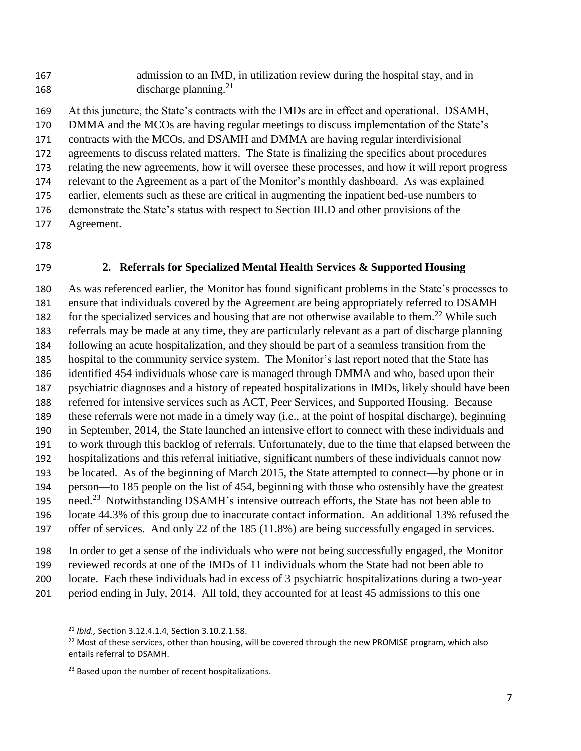admission to an IMD, in utilization review during the hospital stay, and in 168 discharge planning.<sup>21</sup>

 At this juncture, the State's contracts with the IMDs are in effect and operational. DSAMH, DMMA and the MCOs are having regular meetings to discuss implementation of the State's contracts with the MCOs, and DSAMH and DMMA are having regular interdivisional agreements to discuss related matters. The State is finalizing the specifics about procedures relating the new agreements, how it will oversee these processes, and how it will report progress relevant to the Agreement as a part of the Monitor's monthly dashboard. As was explained earlier, elements such as these are critical in augmenting the inpatient bed-use numbers to demonstrate the State's status with respect to Section III.D and other provisions of the Agreement.

- 
- 

#### **2. Referrals for Specialized Mental Health Services & Supported Housing**

 As was referenced earlier, the Monitor has found significant problems in the State's processes to ensure that individuals covered by the Agreement are being appropriately referred to DSAMH for the specialized services and housing that are not otherwise available to them.<sup>22</sup> While such referrals may be made at any time, they are particularly relevant as a part of discharge planning following an acute hospitalization, and they should be part of a seamless transition from the hospital to the community service system. The Monitor's last report noted that the State has identified 454 individuals whose care is managed through DMMA and who, based upon their psychiatric diagnoses and a history of repeated hospitalizations in IMDs, likely should have been referred for intensive services such as ACT, Peer Services, and Supported Housing. Because these referrals were not made in a timely way (i.e., at the point of hospital discharge), beginning in September, 2014, the State launched an intensive effort to connect with these individuals and to work through this backlog of referrals. Unfortunately, due to the time that elapsed between the hospitalizations and this referral initiative, significant numbers of these individuals cannot now be located. As of the beginning of March 2015, the State attempted to connect—by phone or in person—to 185 people on the list of 454, beginning with those who ostensibly have the greatest need.<sup>23</sup> Notwithstanding DSAMH's intensive outreach efforts, the State has not been able to locate 44.3% of this group due to inaccurate contact information. An additional 13% refused the offer of services. And only 22 of the 185 (11.8%) are being successfully engaged in services.

In order to get a sense of the individuals who were not being successfully engaged, the Monitor

reviewed records at one of the IMDs of 11 individuals whom the State had not been able to

locate. Each these individuals had in excess of 3 psychiatric hospitalizations during a two-year

period ending in July, 2014. All told, they accounted for at least 45 admissions to this one

 $\overline{a}$ 

*Ibid.,* Section 3.12.4.1.4, Section 3.10.2.1.58.

<sup>&</sup>lt;sup>22</sup> Most of these services, other than housing, will be covered through the new PROMISE program, which also entails referral to DSAMH.

<sup>&</sup>lt;sup>23</sup> Based upon the number of recent hospitalizations.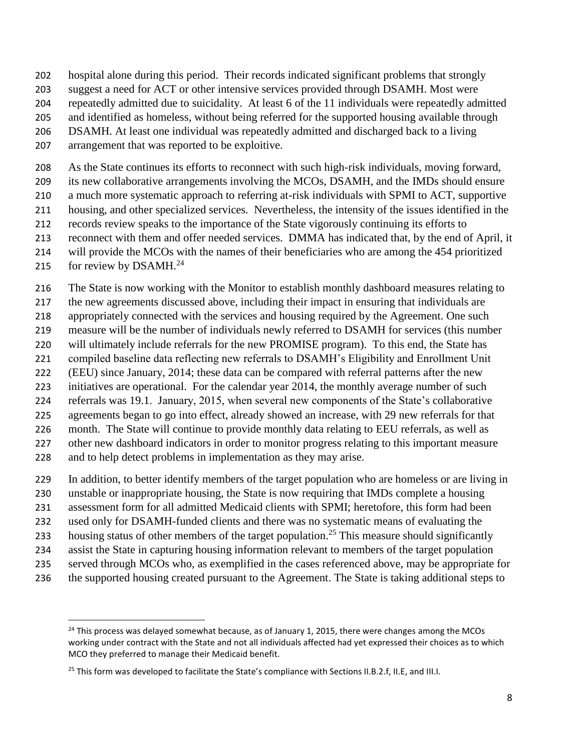hospital alone during this period. Their records indicated significant problems that strongly

- suggest a need for ACT or other intensive services provided through DSAMH. Most were
- repeatedly admitted due to suicidality. At least 6 of the 11 individuals were repeatedly admitted
- and identified as homeless, without being referred for the supported housing available through
- DSAMH. At least one individual was repeatedly admitted and discharged back to a living
- arrangement that was reported to be exploitive.

As the State continues its efforts to reconnect with such high-risk individuals, moving forward,

its new collaborative arrangements involving the MCOs, DSAMH, and the IMDs should ensure

- a much more systematic approach to referring at-risk individuals with SPMI to ACT, supportive housing, and other specialized services. Nevertheless, the intensity of the issues identified in the
- records review speaks to the importance of the State vigorously continuing its efforts to
- reconnect with them and offer needed services. DMMA has indicated that, by the end of April, it
- will provide the MCOs with the names of their beneficiaries who are among the 454 prioritized
- 215 for review by DSAMH.<sup>24</sup>

 $\overline{a}$ 

The State is now working with the Monitor to establish monthly dashboard measures relating to

the new agreements discussed above, including their impact in ensuring that individuals are

appropriately connected with the services and housing required by the Agreement. One such

 measure will be the number of individuals newly referred to DSAMH for services (this number will ultimately include referrals for the new PROMISE program). To this end, the State has

compiled baseline data reflecting new referrals to DSAMH's Eligibility and Enrollment Unit

(EEU) since January, 2014; these data can be compared with referral patterns after the new

initiatives are operational. For the calendar year 2014, the monthly average number of such

referrals was 19.1. January, 2015, when several new components of the State's collaborative

agreements began to go into effect, already showed an increase, with 29 new referrals for that

month. The State will continue to provide monthly data relating to EEU referrals, as well as

227 other new dashboard indicators in order to monitor progress relating to this important measure

and to help detect problems in implementation as they may arise.

In addition, to better identify members of the target population who are homeless or are living in

unstable or inappropriate housing, the State is now requiring that IMDs complete a housing

assessment form for all admitted Medicaid clients with SPMI; heretofore, this form had been

used only for DSAMH-funded clients and there was no systematic means of evaluating the

233 housing status of other members of the target population.<sup>25</sup> This measure should significantly

- assist the State in capturing housing information relevant to members of the target population
- served through MCOs who, as exemplified in the cases referenced above, may be appropriate for
- 236 the supported housing created pursuant to the Agreement. The State is taking additional steps to

<sup>&</sup>lt;sup>24</sup> This process was delayed somewhat because, as of January 1, 2015, there were changes among the MCOs working under contract with the State and not all individuals affected had yet expressed their choices as to which MCO they preferred to manage their Medicaid benefit.

<sup>&</sup>lt;sup>25</sup> This form was developed to facilitate the State's compliance with Sections II.B.2.f, II.E, and III.I.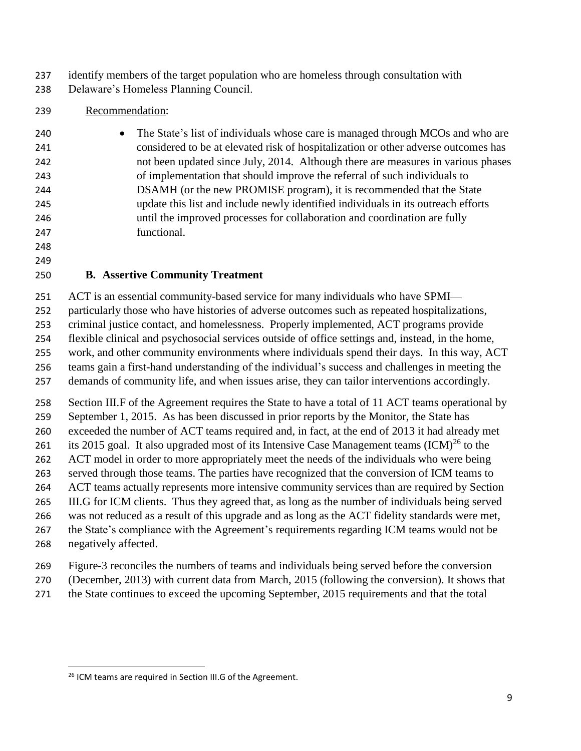identify members of the target population who are homeless through consultation with

Delaware's Homeless Planning Council.

## Recommendation:

| 240 | • The State's list of individuals whose care is managed through MCOs and who are   |
|-----|------------------------------------------------------------------------------------|
| 241 | considered to be at elevated risk of hospitalization or other adverse outcomes has |
| 242 | not been updated since July, 2014. Although there are measures in various phases   |
| 243 | of implementation that should improve the referral of such individuals to          |
| 244 | DSAMH (or the new PROMISE program), it is recommended that the State               |
| 245 | update this list and include newly identified individuals in its outreach efforts  |
| 246 | until the improved processes for collaboration and coordination are fully          |
| 247 | functional.                                                                        |

 

## **B. Assertive Community Treatment**

ACT is an essential community-based service for many individuals who have SPMI—

particularly those who have histories of adverse outcomes such as repeated hospitalizations,

criminal justice contact, and homelessness. Properly implemented, ACT programs provide

flexible clinical and psychosocial services outside of office settings and, instead, in the home,

work, and other community environments where individuals spend their days. In this way, ACT

 teams gain a first-hand understanding of the individual's success and challenges in meeting the demands of community life, and when issues arise, they can tailor interventions accordingly.

Section III.F of the Agreement requires the State to have a total of 11 ACT teams operational by

September 1, 2015. As has been discussed in prior reports by the Monitor, the State has

exceeded the number of ACT teams required and, in fact, at the end of 2013 it had already met

261 its 2015 goal. It also upgraded most of its Intensive Case Management teams  $(ICM)^{26}$  to the

262 ACT model in order to more appropriately meet the needs of the individuals who were being served through those teams. The parties have recognized that the conversion of ICM teams to

ACT teams actually represents more intensive community services than are required by Section

III.G for ICM clients. Thus they agreed that, as long as the number of individuals being served

was not reduced as a result of this upgrade and as long as the ACT fidelity standards were met,

267 the State's compliance with the Agreement's requirements regarding ICM teams would not be

negatively affected.

 $\overline{\phantom{a}}$ 

- Figure-3 reconciles the numbers of teams and individuals being served before the conversion
- (December, 2013) with current data from March, 2015 (following the conversion). It shows that
- the State continues to exceed the upcoming September, 2015 requirements and that the total

<sup>&</sup>lt;sup>26</sup> ICM teams are required in Section III.G of the Agreement.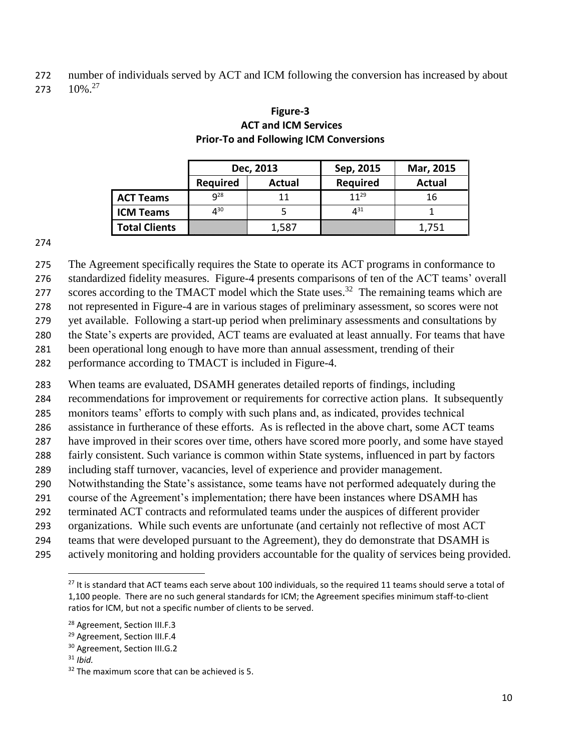number of individuals served by ACT and ICM following the conversion has increased by about

273  $10\%$ <sup>27</sup>

|                      |                 | Dec, 2013 | Sep, 2015       | Mar, 2015 |  |
|----------------------|-----------------|-----------|-----------------|-----------|--|
|                      | <b>Required</b> | Actual    | <b>Required</b> | Actual    |  |
| <b>ACT Teams</b>     | $q^{28}$        | 11        | 1129            | 16        |  |
| <b>ICM Teams</b>     | $4^{30}$        |           | 431             |           |  |
| <b>Total Clients</b> |                 | 1,587     |                 | 1,751     |  |

### **Figure-3 ACT and ICM Services Prior-To and Following ICM Conversions**

The Agreement specifically requires the State to operate its ACT programs in conformance to

standardized fidelity measures. Figure-4 presents comparisons of ten of the ACT teams' overall

scores according to the TMACT model which the State uses.<sup>32</sup> The remaining teams which are

not represented in Figure-4 are in various stages of preliminary assessment, so scores were not

yet available. Following a start-up period when preliminary assessments and consultations by

the State's experts are provided, ACT teams are evaluated at least annually. For teams that have

been operational long enough to have more than annual assessment, trending of their

performance according to TMACT is included in Figure-4.

When teams are evaluated, DSAMH generates detailed reports of findings, including

recommendations for improvement or requirements for corrective action plans. It subsequently

monitors teams' efforts to comply with such plans and, as indicated, provides technical

assistance in furtherance of these efforts. As is reflected in the above chart, some ACT teams

have improved in their scores over time, others have scored more poorly, and some have stayed

fairly consistent. Such variance is common within State systems, influenced in part by factors

including staff turnover, vacancies, level of experience and provider management.

Notwithstanding the State's assistance, some teams have not performed adequately during the

course of the Agreement's implementation; there have been instances where DSAMH has

terminated ACT contracts and reformulated teams under the auspices of different provider

organizations. While such events are unfortunate (and certainly not reflective of most ACT

teams that were developed pursuant to the Agreement), they do demonstrate that DSAMH is

actively monitoring and holding providers accountable for the quality of services being provided.

 $\overline{\phantom{a}}$ 

<sup>&</sup>lt;sup>27</sup> It is standard that ACT teams each serve about 100 individuals, so the required 11 teams should serve a total of 1,100 people. There are no such general standards for ICM; the Agreement specifies minimum staff-to-client ratios for ICM, but not a specific number of clients to be served.

<sup>&</sup>lt;sup>28</sup> Agreement, Section III.F.3

<sup>&</sup>lt;sup>29</sup> Agreement, Section III.F.4

<sup>&</sup>lt;sup>30</sup> Agreement, Section III.G.2

*Ibid.*

The maximum score that can be achieved is 5.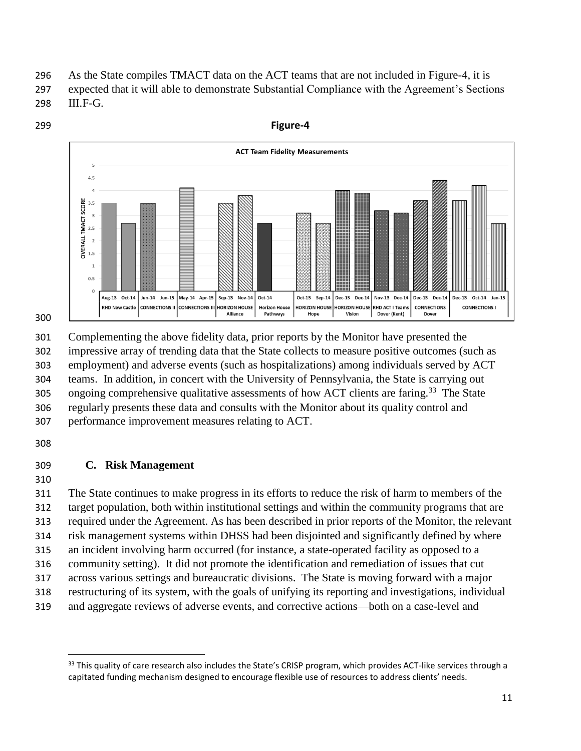296 As the State compiles TMACT data on the ACT teams that are not included in Figure-4, it is

- 297 expected that it will able to demonstrate Substantial Compliance with the Agreement's Sections 298 III.F-G.
- 299 **Figure-4 ACT Team Fidelity Measurements**  $4.5$ **OVERALL TMACT SCORE**  $3.5$  $\overline{\mathbf{3}}$

Oct-13 Sep-14

HORIZON HOLISE

Hope

**Dec-13** 

**HORIZON HOLISE** 

Vision

**Dec-14** 

Nov-13 Dec-14

**RHD ACT I Team** 

Dover (Kent)

Dec-13 Dec-14

CONNECTIONS

Dover

 $Dec-13$ 

 $Oct-14$  $Jan-15$ 

CONNECTIONS I



 Complementing the above fidelity data, prior reports by the Monitor have presented the impressive array of trending data that the State collects to measure positive outcomes (such as employment) and adverse events (such as hospitalizations) among individuals served by ACT teams. In addition, in concert with the University of Pennsylvania, the State is carrying out 305 ongoing comprehensive qualitative assessments of how ACT clients are faring.<sup>33</sup> The State regularly presents these data and consults with the Monitor about its quality control and performance improvement measures relating to ACT.

Oct-14

**Horizon House** 

Pathways

Sep-13

HORIZON HOLISE

Alliance

 $Nov-14$ 

May-14 Apr-15

CONNECTIONS II CONNECTIONS III

308

### 309 **C. Risk Management**

 $2.5$  $\overline{2}$  $1.5$  $\overline{1}$  $0.5$ 

Aug-13 Oct-14

**RHD New Castle** 

Jun-14 Jun-15

310

 The State continues to make progress in its efforts to reduce the risk of harm to members of the target population, both within institutional settings and within the community programs that are required under the Agreement. As has been described in prior reports of the Monitor, the relevant risk management systems within DHSS had been disjointed and significantly defined by where an incident involving harm occurred (for instance, a state-operated facility as opposed to a community setting). It did not promote the identification and remediation of issues that cut across various settings and bureaucratic divisions. The State is moving forward with a major restructuring of its system, with the goals of unifying its reporting and investigations, individual and aggregate reviews of adverse events, and corrective actions—both on a case-level and

l <sup>33</sup> This quality of care research also includes the State's CRISP program, which provides ACT-like services through a capitated funding mechanism designed to encourage flexible use of resources to address clients' needs.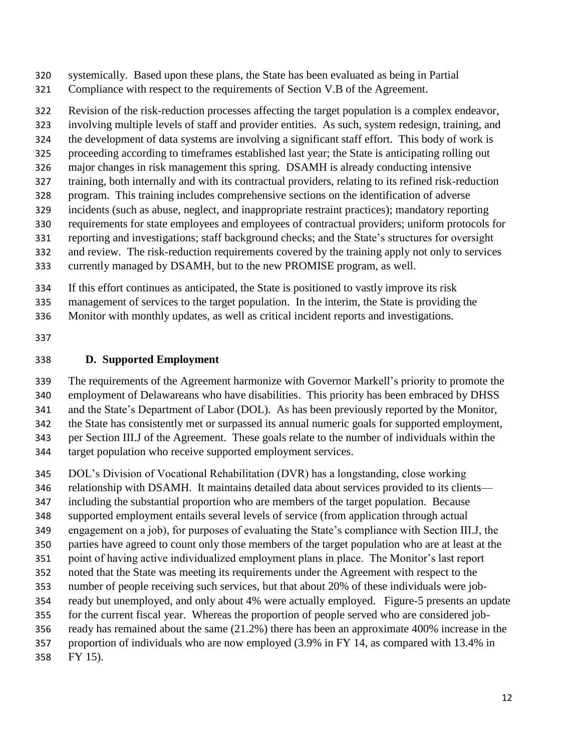systemically. Based upon these plans, the State has been evaluated as being in Partial

Compliance with respect to the requirements of Section V.B of the Agreement.

Revision of the risk-reduction processes affecting the target population is a complex endeavor,

involving multiple levels of staff and provider entities. As such, system redesign, training, and

the development of data systems are involving a significant staff effort. This body of work is

 proceeding according to timeframes established last year; the State is anticipating rolling out major changes in risk management this spring. DSAMH is already conducting intensive

training, both internally and with its contractual providers, relating to its refined risk-reduction

program. This training includes comprehensive sections on the identification of adverse

incidents (such as abuse, neglect, and inappropriate restraint practices); mandatory reporting

requirements for state employees and employees of contractual providers; uniform protocols for

reporting and investigations; staff background checks; and the State's structures for oversight

and review. The risk-reduction requirements covered by the training apply not only to services

currently managed by DSAMH, but to the new PROMISE program, as well.

If this effort continues as anticipated, the State is positioned to vastly improve its risk

management of services to the target population. In the interim, the State is providing the

Monitor with monthly updates, as well as critical incident reports and investigations.

## **D. Supported Employment**

 The requirements of the Agreement harmonize with Governor Markell's priority to promote the employment of Delawareans who have disabilities. This priority has been embraced by DHSS

and the State's Department of Labor (DOL). As has been previously reported by the Monitor,

the State has consistently met or surpassed its annual numeric goals for supported employment,

per Section III.J of the Agreement. These goals relate to the number of individuals within the

target population who receive supported employment services.

DOL's Division of Vocational Rehabilitation (DVR) has a longstanding, close working

relationship with DSAMH. It maintains detailed data about services provided to its clients—

including the substantial proportion who are members of the target population. Because

supported employment entails several levels of service (from application through actual

engagement on a job), for purposes of evaluating the State's compliance with Section III.J, the

parties have agreed to count only those members of the target population who are at least at the

point of having active individualized employment plans in place. The Monitor's last report

noted that the State was meeting its requirements under the Agreement with respect to the

number of people receiving such services, but that about 20% of these individuals were job-

ready but unemployed, and only about 4% were actually employed. Figure-5 presents an update

 for the current fiscal year. Whereas the proportion of people served who are considered job-ready has remained about the same (21.2%) there has been an approximate 400% increase in the

proportion of individuals who are now employed (3.9% in FY 14, as compared with 13.4% in

FY 15).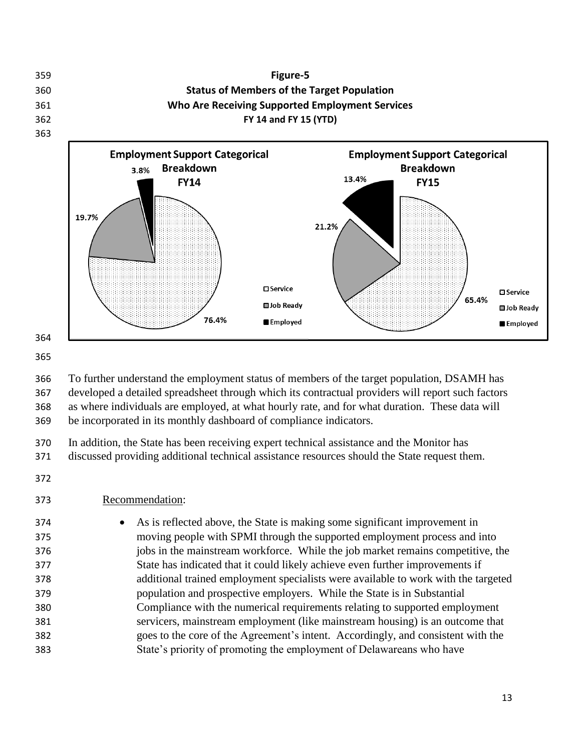

 To further understand the employment status of members of the target population, DSAMH has developed a detailed spreadsheet through which its contractual providers will report such factors as where individuals are employed, at what hourly rate, and for what duration. These data will be incorporated in its monthly dashboard of compliance indicators.

 In addition, the State has been receiving expert technical assistance and the Monitor has discussed providing additional technical assistance resources should the State request them.

### Recommendation:

 As is reflected above, the State is making some significant improvement in moving people with SPMI through the supported employment process and into jobs in the mainstream workforce. While the job market remains competitive, the State has indicated that it could likely achieve even further improvements if additional trained employment specialists were available to work with the targeted population and prospective employers. While the State is in Substantial Compliance with the numerical requirements relating to supported employment servicers, mainstream employment (like mainstream housing) is an outcome that goes to the core of the Agreement's intent. Accordingly, and consistent with the State's priority of promoting the employment of Delawareans who have